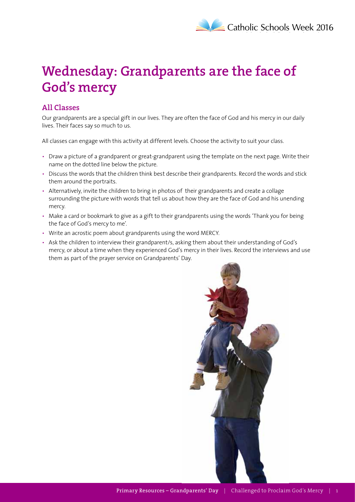## **Wednesday: Grandparents are the face of God's mercy**

## **All Classes**

Our grandparents are a special gift in our lives. They are often the face of God and his mercy in our daily lives. Their faces say so much to us.

All classes can engage with this activity at different levels. Choose the activity to suit your class.

- Draw a picture of a grandparent or great-grandparent using the template on the next page. Write their name on the dotted line below the picture.
- Discuss the words that the children think best describe their grandparents. Record the words and stick them around the portraits.
- Alternatively, invite the children to bring in photos of their grandparents and create a collage surrounding the picture with words that tell us about how they are the face of God and his unending mercy.
- Make a card or bookmark to give as a gift to their grandparents using the words 'Thank you for being the face of God's mercy to me'.
- Write an acrostic poem about grandparents using the word MERCY.
- Ask the children to interview their grandparent/s, asking them about their understanding of God's mercy, or about a time when they experienced God's mercy in their lives. Record the interviews and use them as part of the prayer service on Grandparents' Day.

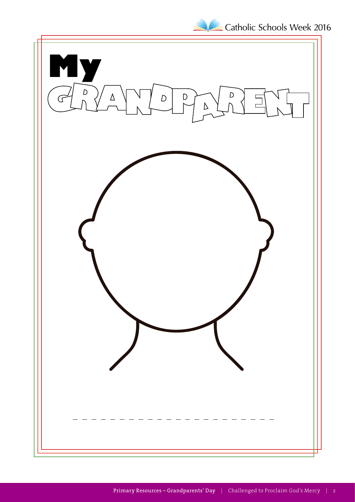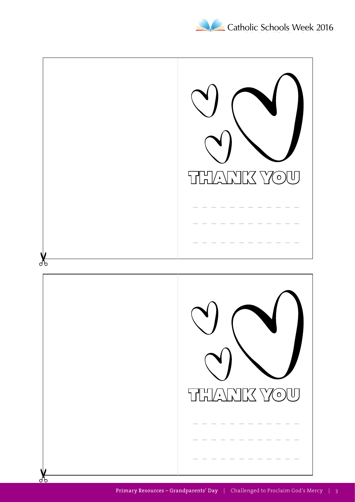

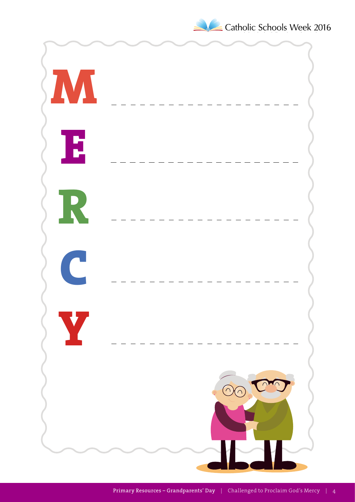